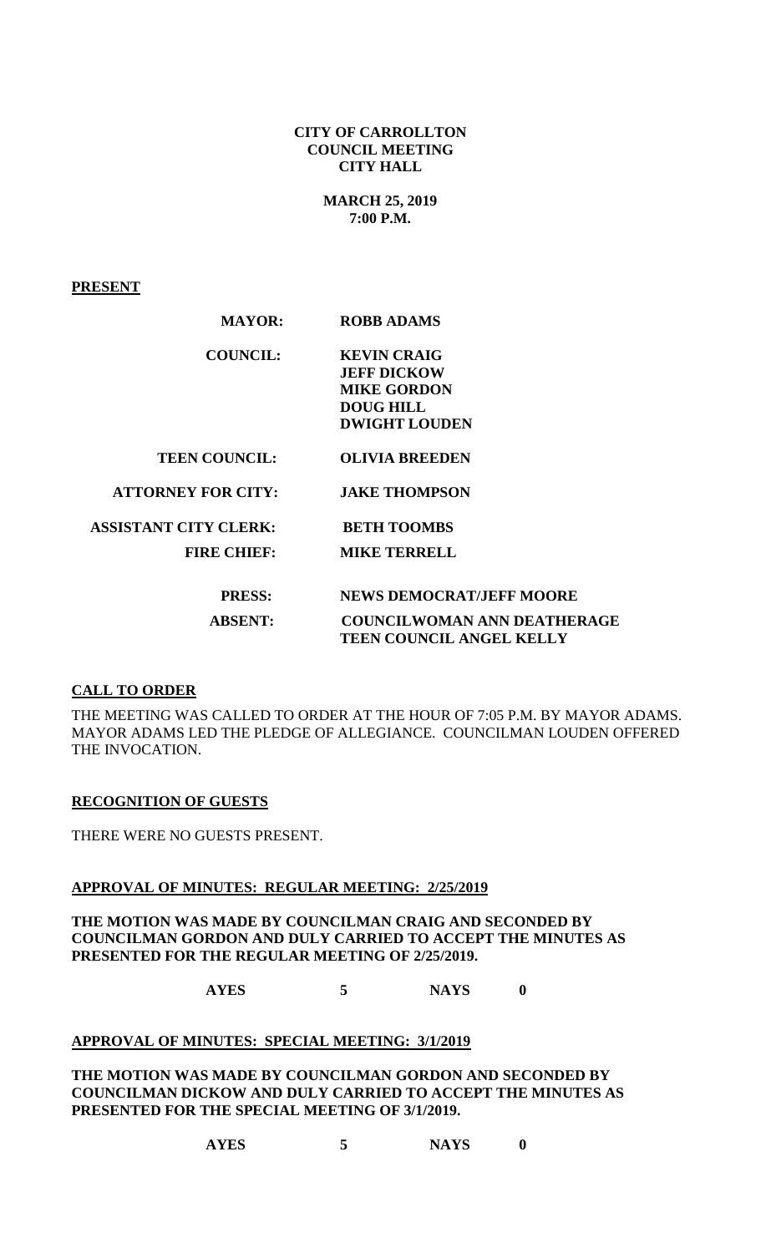**CITY OF CARROLLTON COUNCIL MEETING CITY HALL**

> **MARCH 25, 2019 7:00 P.M.**

**PRESENT**

| <b>MAYOR:</b>                | <b>ROBB ADAMS</b>                  |
|------------------------------|------------------------------------|
| <b>COUNCIL:</b>              | <b>KEVIN CRAIG</b>                 |
|                              | <b>JEFF DICKOW</b>                 |
|                              | <b>MIKE GORDON</b>                 |
|                              | <b>DOUG HILL</b>                   |
|                              | <b>DWIGHT LOUDEN</b>               |
| <b>TEEN COUNCIL:</b>         | <b>OLIVIA BREEDEN</b>              |
| <b>ATTORNEY FOR CITY:</b>    | <b>JAKE THOMPSON</b>               |
| <b>ASSISTANT CITY CLERK:</b> | <b>BETH TOOMBS</b>                 |
| <b>FIRE CHIEF:</b>           | <b>MIKE TERRELL</b>                |
| <b>PRESS:</b>                | <b>NEWS DEMOCRAT/JEFF MOORE</b>    |
| <b>ABSENT:</b>               | <b>COUNCILWOMAN ANN DEATHERAGE</b> |
|                              | <b>TEEN COUNCIL ANGEL KELLY</b>    |

## **CALL TO ORDER**

THE MEETING WAS CALLED TO ORDER AT THE HOUR OF 7:05 P.M. BY MAYOR ADAMS. MAYOR ADAMS LED THE PLEDGE OF ALLEGIANCE. COUNCILMAN LOUDEN OFFERED THE INVOCATION.

#### **RECOGNITION OF GUESTS**

THERE WERE NO GUESTS PRESENT.

#### **APPROVAL OF MINUTES: REGULAR MEETING: 2/25/2019**

**THE MOTION WAS MADE BY COUNCILMAN CRAIG AND SECONDED BY COUNCILMAN GORDON AND DULY CARRIED TO ACCEPT THE MINUTES AS PRESENTED FOR THE REGULAR MEETING OF 2/25/2019.**

**AYES 5 NAYS 0**

# **APPROVAL OF MINUTES: SPECIAL MEETING: 3/1/2019**

**THE MOTION WAS MADE BY COUNCILMAN GORDON AND SECONDED BY COUNCILMAN DICKOW AND DULY CARRIED TO ACCEPT THE MINUTES AS PRESENTED FOR THE SPECIAL MEETING OF 3/1/2019.**

**AYES 5 NAYS 0**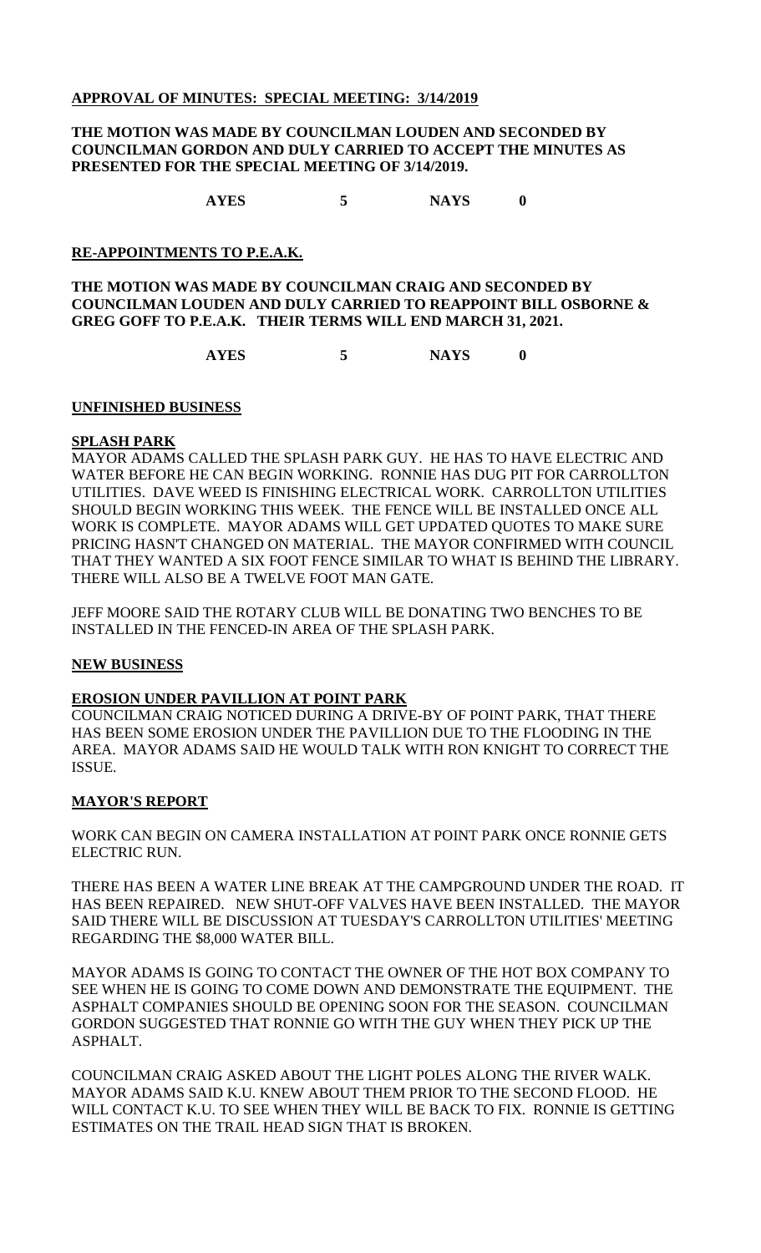## **APPROVAL OF MINUTES: SPECIAL MEETING: 3/14/2019**

#### **THE MOTION WAS MADE BY COUNCILMAN LOUDEN AND SECONDED BY COUNCILMAN GORDON AND DULY CARRIED TO ACCEPT THE MINUTES AS PRESENTED FOR THE SPECIAL MEETING OF 3/14/2019.**

**AYES 5 NAYS 0**

# **RE-APPOINTMENTS TO P.E.A.K.**

## **THE MOTION WAS MADE BY COUNCILMAN CRAIG AND SECONDED BY COUNCILMAN LOUDEN AND DULY CARRIED TO REAPPOINT BILL OSBORNE & GREG GOFF TO P.E.A.K. THEIR TERMS WILL END MARCH 31, 2021.**

**AYES 5 NAYS 0**

## **UNFINISHED BUSINESS**

## **SPLASH PARK**

MAYOR ADAMS CALLED THE SPLASH PARK GUY. HE HAS TO HAVE ELECTRIC AND WATER BEFORE HE CAN BEGIN WORKING. RONNIE HAS DUG PIT FOR CARROLLTON UTILITIES. DAVE WEED IS FINISHING ELECTRICAL WORK. CARROLLTON UTILITIES SHOULD BEGIN WORKING THIS WEEK. THE FENCE WILL BE INSTALLED ONCE ALL WORK IS COMPLETE. MAYOR ADAMS WILL GET UPDATED QUOTES TO MAKE SURE PRICING HASN'T CHANGED ON MATERIAL. THE MAYOR CONFIRMED WITH COUNCIL THAT THEY WANTED A SIX FOOT FENCE SIMILAR TO WHAT IS BEHIND THE LIBRARY. THERE WILL ALSO BE A TWELVE FOOT MAN GATE.

JEFF MOORE SAID THE ROTARY CLUB WILL BE DONATING TWO BENCHES TO BE INSTALLED IN THE FENCED-IN AREA OF THE SPLASH PARK.

## **NEW BUSINESS**

## **EROSION UNDER PAVILLION AT POINT PARK**

COUNCILMAN CRAIG NOTICED DURING A DRIVE-BY OF POINT PARK, THAT THERE HAS BEEN SOME EROSION UNDER THE PAVILLION DUE TO THE FLOODING IN THE AREA. MAYOR ADAMS SAID HE WOULD TALK WITH RON KNIGHT TO CORRECT THE ISSUE.

## **MAYOR'S REPORT**

WORK CAN BEGIN ON CAMERA INSTALLATION AT POINT PARK ONCE RONNIE GETS ELECTRIC RUN.

THERE HAS BEEN A WATER LINE BREAK AT THE CAMPGROUND UNDER THE ROAD. IT HAS BEEN REPAIRED. NEW SHUT-OFF VALVES HAVE BEEN INSTALLED. THE MAYOR SAID THERE WILL BE DISCUSSION AT TUESDAY'S CARROLLTON UTILITIES' MEETING REGARDING THE \$8,000 WATER BILL.

MAYOR ADAMS IS GOING TO CONTACT THE OWNER OF THE HOT BOX COMPANY TO SEE WHEN HE IS GOING TO COME DOWN AND DEMONSTRATE THE EQUIPMENT. THE ASPHALT COMPANIES SHOULD BE OPENING SOON FOR THE SEASON. COUNCILMAN GORDON SUGGESTED THAT RONNIE GO WITH THE GUY WHEN THEY PICK UP THE ASPHALT.

COUNCILMAN CRAIG ASKED ABOUT THE LIGHT POLES ALONG THE RIVER WALK. MAYOR ADAMS SAID K.U. KNEW ABOUT THEM PRIOR TO THE SECOND FLOOD. HE WILL CONTACT K.U. TO SEE WHEN THEY WILL BE BACK TO FIX. RONNIE IS GETTING ESTIMATES ON THE TRAIL HEAD SIGN THAT IS BROKEN.